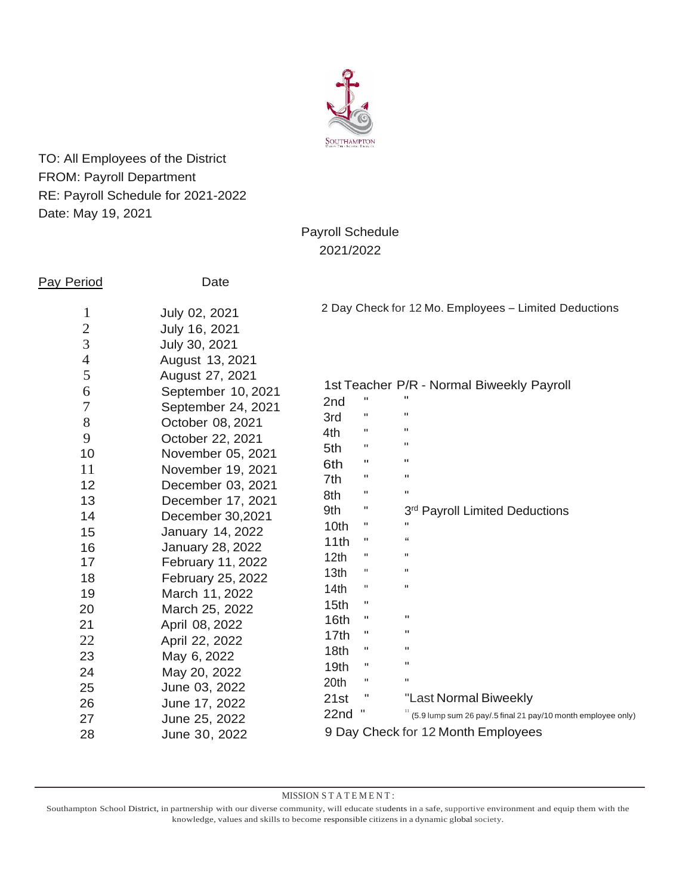

TO: All Employees of the District FROM: Payroll Department RE: Payroll Schedule for 2021-2022 Date: May 19, 2021

# Payroll Schedule 2021/2022

| <b>Pay Period</b>              | Date                           |                                                       |                                    |                                                              |  |
|--------------------------------|--------------------------------|-------------------------------------------------------|------------------------------------|--------------------------------------------------------------|--|
| $\mathbf{1}$<br>$\overline{2}$ | July 02, 2021<br>July 16, 2021 | 2 Day Check for 12 Mo. Employees - Limited Deductions |                                    |                                                              |  |
| $\overline{3}$                 | July 30, 2021                  |                                                       |                                    |                                                              |  |
| $\overline{4}$                 | August 13, 2021                |                                                       |                                    |                                                              |  |
| 5                              | August 27, 2021                |                                                       |                                    |                                                              |  |
| 6                              | September 10, 2021             |                                                       | $\pmb{\mathsf{H}}$                 | 1st Teacher P/R - Normal Biweekly Payroll<br>п               |  |
| $\overline{7}$                 | September 24, 2021             | 2nd                                                   |                                    | $\pmb{\mathsf{H}}$                                           |  |
| $8\,$                          | October 08, 2021               | 3rd                                                   | $\pmb{\mathsf{H}}$                 | $\pmb{\mathsf{H}}$                                           |  |
| 9                              | October 22, 2021               | 4th                                                   | н                                  | $\pmb{\mathsf{H}}$                                           |  |
| 10                             | November 05, 2021              | 5th                                                   | $\pmb{\mathsf{H}}$                 | $\mathbf{H}$                                                 |  |
| 11                             | November 19, 2021              | 6th                                                   | $\pmb{\mathsf{H}}$                 | $\pmb{\mathsf{H}}$                                           |  |
| 12                             | December 03, 2021              | 7th                                                   | п                                  | $\pmb{\mathsf{H}}$                                           |  |
| 13                             | December 17, 2021              | 8th                                                   | н                                  |                                                              |  |
| 14                             | December 30,2021               | 9th                                                   | н                                  | 3rd Payroll Limited Deductions                               |  |
| 15                             | January 14, 2022               | 10th                                                  | н                                  | п                                                            |  |
| 16                             | January 28, 2022               | 11th                                                  | п                                  | "                                                            |  |
| 17                             | February 11, 2022              | 12 <sub>th</sub>                                      | $\mathbf H$                        | $\mathbf H$                                                  |  |
| 18                             | February 25, 2022              | 13th                                                  | $\sf H$                            | $\pmb{\mathsf{H}}$                                           |  |
| 19                             | March 11, 2022                 | 14th                                                  | $\mathbf H$                        | $\pmb{\mathsf{H}}$                                           |  |
| 20                             | March 25, 2022                 | 15 <sub>th</sub>                                      | $\mathbf H$                        |                                                              |  |
| 21                             | April 08, 2022                 | 16th                                                  | $\pmb{\mathsf{H}}$                 | $\pmb{\mathsf{H}}$                                           |  |
| 22                             | April 22, 2022                 | 17th                                                  | п                                  | $\pmb{\mathsf{H}}$                                           |  |
| 23                             | May 6, 2022                    | 18th                                                  | $\pmb{\mathsf{H}}$                 | $\mathbf H$                                                  |  |
| 24                             | May 20, 2022                   | 19 <sub>th</sub>                                      | $\pmb{\mathsf{H}}$                 | $\mathbf{H}$                                                 |  |
| 25                             | June 03, 2022                  | 20th                                                  | $\mathbf H$                        | П                                                            |  |
| 26                             | June 17, 2022                  | 21st                                                  | н                                  | "Last Normal Biweekly                                        |  |
| 27                             | June 25, 2022                  | 22nd                                                  |                                    | (5.9 lump sum 26 pay/.5 final 21 pay/10 month employee only) |  |
| 28                             | June 30, 2022                  |                                                       | 9 Day Check for 12 Month Employees |                                                              |  |

#### MISSION STATEMENT:

Southampton School District, in partnership with our diverse community, will educate students in a safe, supportive environment and equip them with the knowledge, values and skills to become responsible citizens in a dynamic global society.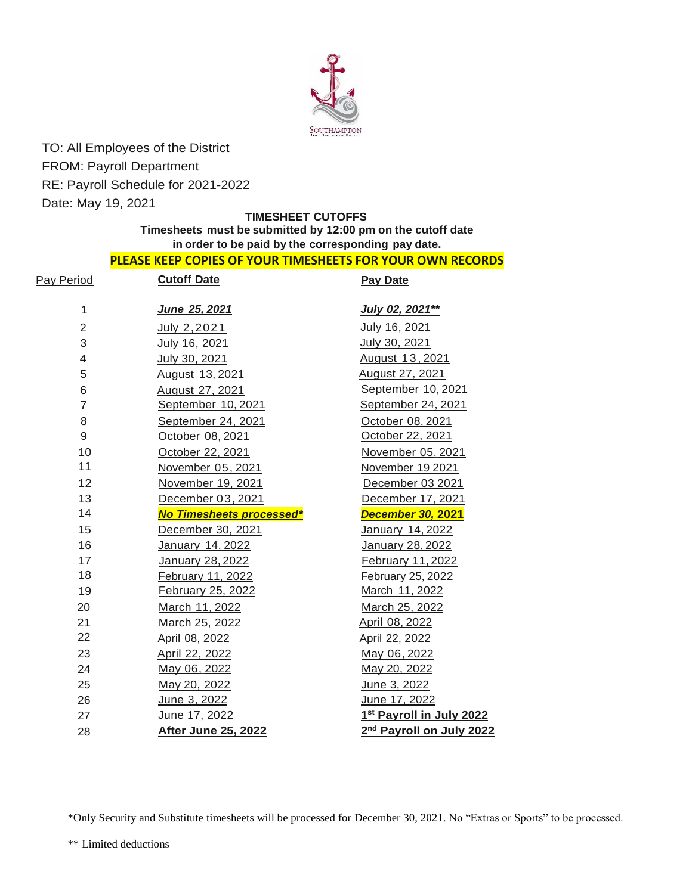

TO: All Employees of the District FROM: Payroll Department RE: Payroll Schedule for 2021-2022 Date: May 19, 2021

### **TIMESHEET CUTOFFS**

# **Timesheets must be submitted by 12:00 pm on the cutoff date in order to be paid by the corresponding pay date.**

### **PLEASE KEEP COPIES OF YOUR TIMESHEETS FOR YOUR OWN RECORDS**

| Pay Period     | <b>Cutoff Date</b>         | <b>Pay Date</b>                      |
|----------------|----------------------------|--------------------------------------|
| $\mathbf{1}$   | June 25, 2021              | July 02, 2021**                      |
| $\overline{2}$ | July 2, 2021               | July 16, 2021                        |
| 3              | July 16, 2021              | July 30, 2021                        |
| 4              | July 30, 2021              | August 13, 2021                      |
| 5              | August 13, 2021            | August 27, 2021                      |
| 6              | August 27, 2021            | September 10, 2021                   |
| $\overline{7}$ | September 10, 2021         | September 24, 2021                   |
| 8              | September 24, 2021         | October 08, 2021                     |
| 9              | October 08, 2021           | October 22, 2021                     |
| 10             | October 22, 2021           | November 05, 2021                    |
| 11             | November 05, 2021          | November 19 2021                     |
| 12             | November 19, 2021          | December 03 2021                     |
| 13             | December 03, 2021          | December 17, 2021                    |
| 14             | No Timesheets processed*   | <b>December 30, 2021</b>             |
| 15             | December 30, 2021          | January 14, 2022                     |
| 16             | January 14, 2022           | January 28, 2022                     |
| 17             | January 28, 2022           | February 11, 2022                    |
| 18             | February 11, 2022          | February 25, 2022                    |
| 19             | February 25, 2022          | March 11, 2022                       |
| 20             | March 11, 2022             | March 25, 2022                       |
| 21             | March 25, 2022             | April 08, 2022                       |
| 22             | April 08, 2022             | April 22, 2022                       |
| 23             | April 22, 2022             | May 06, 2022                         |
| 24             | May 06, 2022               | May 20, 2022                         |
| 25             | May 20, 2022               | June 3, 2022                         |
| 26             | June 3, 2022               | June 17, 2022                        |
| 27             | June 17, 2022              | 1st Payroll in July 2022             |
| 28             | <b>After June 25, 2022</b> | 2 <sup>nd</sup> Payroll on July 2022 |

\*Only Security and Substitute timesheets will be processed for December 30, 2021. No "Extras or Sports" to be processed.